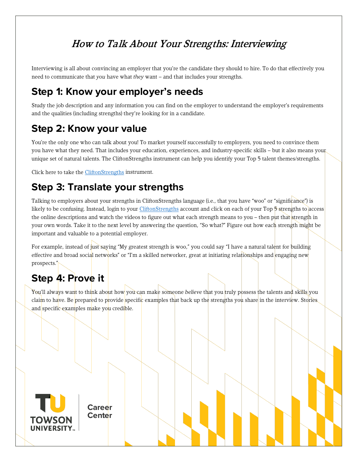## How to Talk About Your Strengths: Interviewing

Interviewing is all about convincing an employer that you're the candidate they should to hire. To do that effectively you need to communicate that *you* have what *they* want – and that includes your strengths.

#### **Step 1: Know your employer's needs**

Study the job description and any information you can find on the employer to understand the employer's requirements and the qualities (including strengths) they're looking for in a candidate.

### **Step 2: Know your value**

You're the only one who can talk about you! To market yourself successfully to employers, you need to convince them you have what they need. That includes your education, experiences, and industry-specific skills – but it also means your unique set of natural talents. The CliftonStrengths instrument can help you identify your Top 5 talent themes/strengths.

Click here to take the [CliftonStrengths](https://towson.gallup.com/) instrument.

#### **Step 3: Translate your strengths**

Talking to employers about your strengths in CliftonStrengths language (i.e., that you have "woo" or "significance") is likely to be confusing. Instead, login to you[r CliftonStrengths](https://towson.gallup.com/) account and click on each of your Top 5 strengths to access the online descriptions and watch the videos to figure out what each strength means to you – then put that strength in your own words. Take it to the next level by answering the question, "So what?" Figure out how each strength might be important and valuable to a potential employer.

For example, instead of just saying "My greatest strength is woo," you could say "I have a natural talent for building effective and broad social networks" or "I'm a skilled networker, great at initiating relationships and engaging new prospects."

# **Step 4: Prove it**

You'll always want to think about how you can make someone *believe* that you truly possess the talents and skills you claim to have. Be prepared to provide specific examples that back up the strengths you share in the interview. Stories and specific examples make you credible.



**Career Center**